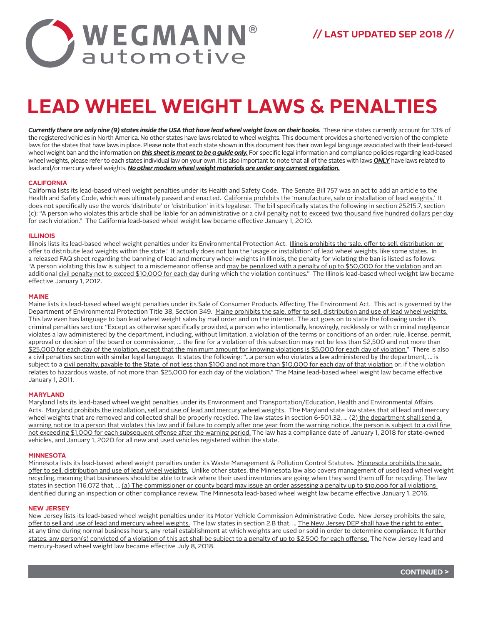

# **LEAD WHEEL WEIGHT LAWS & PENALTIES**

*Currently there are only nine (9) states inside the USA that have lead wheel weight laws on their books.* These nine states currently account for 33% of the registered vehicles in North America. No other states have laws related to wheel weights. This document provides a shortened version of the complete laws for the states that have laws in place. Please note that each state shown in this document has their own legal language associated with their lead-based wheel weight ban and the information on *this sheet is meant to be a guide only.* For specific legal information and compliance policies regarding lead-based wheel weights, please refer to each states individual law on your own. It is also important to note that all of the states with laws *ONLY* have laws related to lead and/or mercury wheel weights. *No other modern wheel weight materials are under any current regulation.*

## **CALIFORNIA**

California lists its lead-based wheel weight penalties under its Health and Safety Code. The Senate Bill 757 was an act to add an article to the Health and Safety Code, which was ultimately passed and enacted. California prohibits the 'manufacture, sale or installation of lead weights.' It does not specifically use the words 'distribute' or 'distribution' in it's legalese. The bill specifically states the following in section 25215.7, section (c): "A person who violates this article shall be liable for an administrative or a civil penalty not to exceed two thousand five hundred dollars per day for each violation." The California lead-based wheel weight law became effective January 1, 2010.

## **ILLINOIS**

Illinois lists its lead-based wheel weight penalties under its Environmental Protection Act. Illinois prohibits the 'sale, offer to sell, distribution, or offer to distribute lead weights within the state.' It actually does not ban the 'usage or installation' of lead wheel weights, like some states. In a released FAQ sheet regarding the banning of lead and mercury wheel weights in Illinois, the penalty for violating the ban is listed as follows: "A person violating this law is subject to a misdemeanor offense and may be penalized with a penalty of up to \$50,000 for the violation and an additional civil penalty not to exceed \$10,000 for each day during which the violation continues." The Illinois lead-based wheel weight law became effective January 1, 2012.

### **MAINE**

Maine lists its lead-based wheel weight penalties under its Sale of Consumer Products Affecting The Environment Act. This act is governed by the Department of Environmental Protection Title 38, Section 349. Maine prohibits the sale, offer to sell, distribution and use of lead wheel weights. This law even has language to ban lead wheel weight sales by mail order and on the internet. The act goes on to state the following under it's criminal penalties section: "Except as otherwise specifically provided, a person who intentionally, knowingly, recklessly or with criminal negligence violates a law administered by the department, including, without limitation, a violation of the terms or conditions of an order, rule, license, permit, approval or decision of the board or commissioner, ... the fine for a violation of this subsection may not be less than \$2,500 and not more than \$25,000 for each day of the violation, except that the minimum amount for knowing violations is \$5,000 for each day of violation." There is also a civil penalties section with similar legal language. It states the following: "…a person who violates a law administered by the department, … is subject to a civil penalty, payable to the State, of not less than \$100 and not more than \$10,000 for each day of that violation or, if the violation relates to hazardous waste, of not more than \$25,000 for each day of the violation." The Maine lead-based wheel weight law became effective January 1, 2011.

### **MARYLAND**

Maryland lists its lead-based wheel weight penalties under its Environment and Transportation/Education, Health and Environmental Affairs Acts. Maryland prohibits the installation, sell and use of lead and mercury wheel weights. The Maryland state law states that all lead and mercury wheel weights that are removed and collected shall be properly recycled. The law states in section 6-501.32, ... (2) the department shall send a warning notice to a person that violates this law and if failure to comply after one year from the warning notice, the person is subject to a civil fine not exceeding \$1,000 for each subsequent offense after the warning period. The law has a compliance date of January 1, 2018 for state-owned vehicles, and January 1, 2020 for all new and used vehicles registered within the state.

### **MINNESOTA**

Minnesota lists its lead-based wheel weight penalties under its Waste Management & Pollution Control Statutes. Minnesota prohibits the sale. offer to sell, distribution and use of lead wheel weights. Unlike other states, the Minnesota law also covers management of used lead wheel weight recycling, meaning that businesses should be able to track where their used inventories are going when they send them off for recycling. The law states in section 116.072 that, ... (a) The commissioner or county board may issue an order assessing a penalty up to \$10,000 for all violations identified during an inspection or other compliance review. The Minnesota lead-based wheel weight law became effective January 1, 2016.

### **NEW JERSEY**

New Jersey lists its lead-based wheel weight penalties under its Motor Vehicle Commission Administrative Code. New Jersey prohibits the sale. offer to sell and use of lead and mercury wheel weights. The law states in section 2.B that, ... The New Jersey DEP shall have the right to enter, at any time during normal business hours, any retail establishment at which weights are used or sold in order to determine compliance. It further states, any person(s) convicted of a violation of this act shall be subject to a penalty of up to \$2,500 for each offense. The New Jersey lead and mercury-based wheel weight law became effective July 8, 2018.